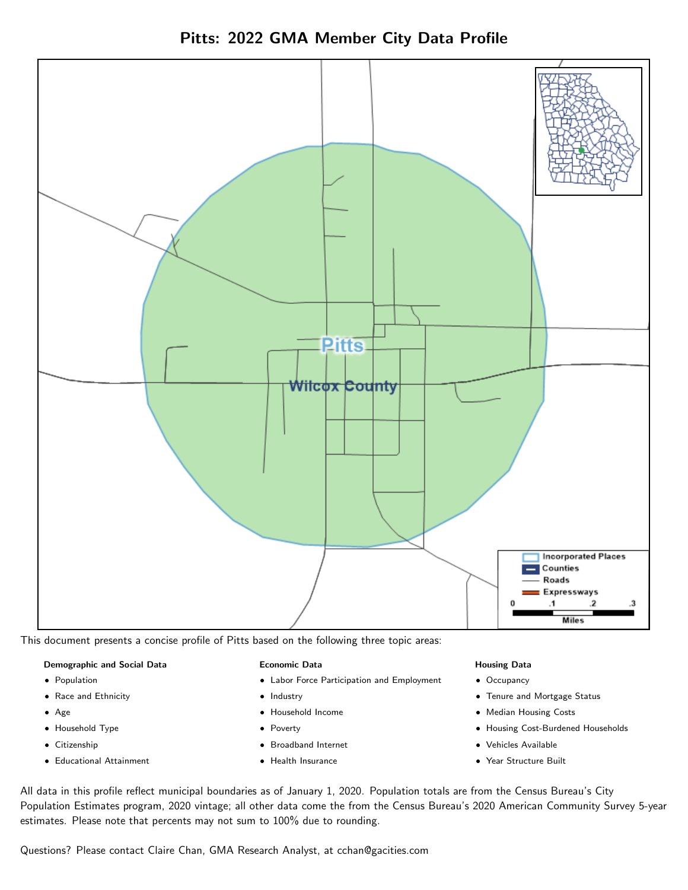Pitts: 2022 GMA Member City Data Profile



This document presents a concise profile of Pitts based on the following three topic areas:

### Demographic and Social Data

- **•** Population
- Race and Ethnicity
- Age
- Household Type
- **Citizenship**
- Educational Attainment

### Economic Data

- Labor Force Participation and Employment
- Industry
- Household Income
- Poverty
- Broadband Internet
- Health Insurance

### Housing Data

- Occupancy
- Tenure and Mortgage Status
- Median Housing Costs
- Housing Cost-Burdened Households
- Vehicles Available
- Year Structure Built

All data in this profile reflect municipal boundaries as of January 1, 2020. Population totals are from the Census Bureau's City Population Estimates program, 2020 vintage; all other data come the from the Census Bureau's 2020 American Community Survey 5-year estimates. Please note that percents may not sum to 100% due to rounding.

Questions? Please contact Claire Chan, GMA Research Analyst, at [cchan@gacities.com.](mailto:cchan@gacities.com)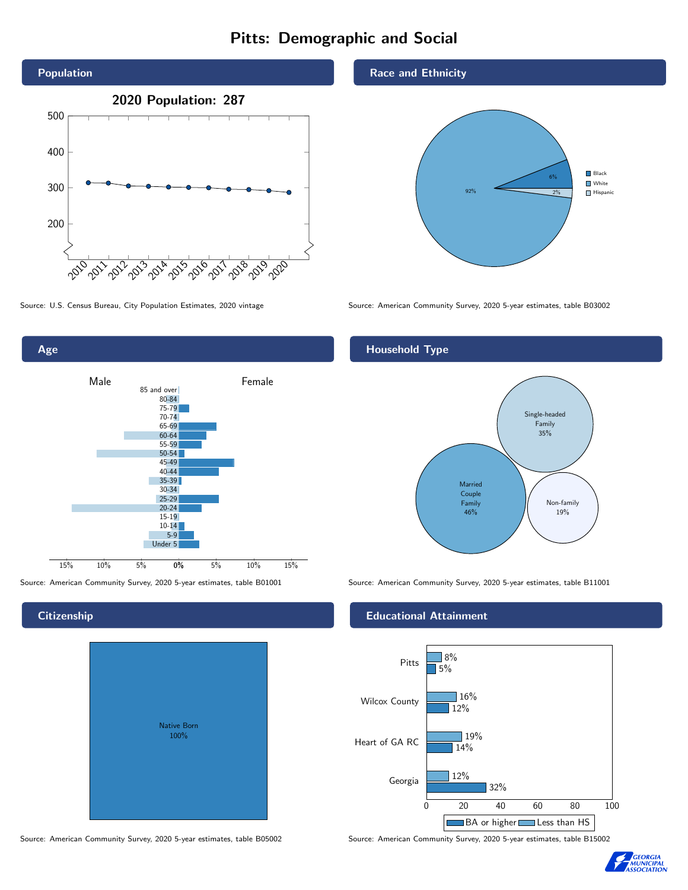# Pitts: Demographic and Social





Age Male **Female** 85 and over 80-84 75-79 70-74 65-69 60-64 55-59 50-54 45-49 40-44 35-39 30-34 25-29 20-24 15-19 10-14 5-9 Under 5

0% 5% 10% 15%

Source: American Community Survey, 2020 5-year estimates, table B01001 Source: American Community Survey, 2020 5-year estimates, table B11001

15% 10% 5%

# **Citizenship**

| <b>Native Born</b><br>100% |  |
|----------------------------|--|

Source: American Community Survey, 2020 5-year estimates, table B05002 Source: American Community Survey, 2020 5-year estimates, table B15002

## Race and Ethnicity



## Household Type



## Educational Attainment



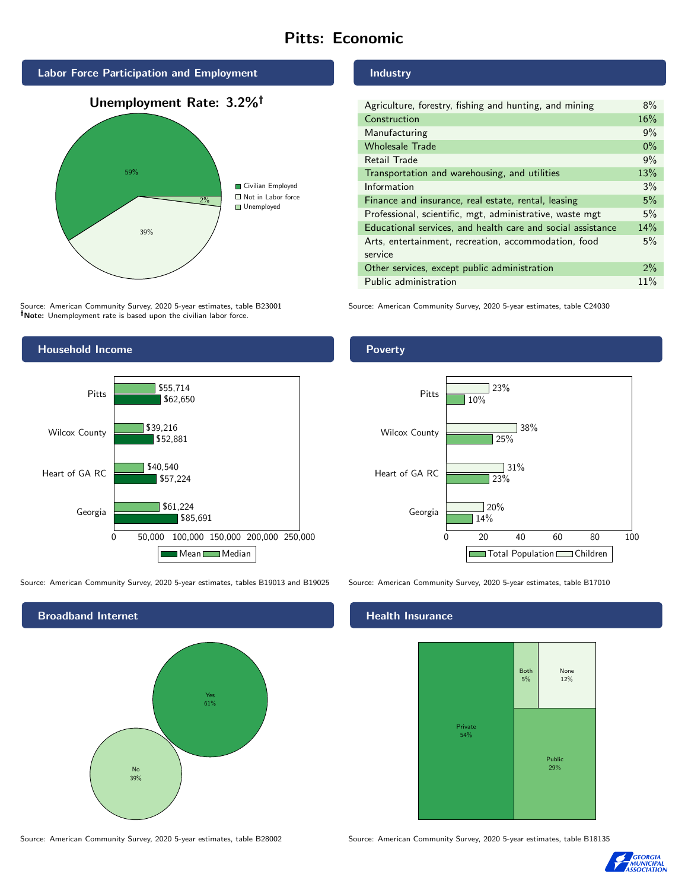# Pitts: Economic







Source: American Community Survey, 2020 5-year estimates, table B23001 Note: Unemployment rate is based upon the civilian labor force.

Industry

| Agriculture, forestry, fishing and hunting, and mining      |       |
|-------------------------------------------------------------|-------|
| Construction                                                |       |
| Manufacturing                                               |       |
| <b>Wholesale Trade</b>                                      | $0\%$ |
| Retail Trade                                                | 9%    |
| Transportation and warehousing, and utilities               |       |
| Information                                                 |       |
| Finance and insurance, real estate, rental, leasing         |       |
| Professional, scientific, mgt, administrative, waste mgt    |       |
| Educational services, and health care and social assistance |       |
| Arts, entertainment, recreation, accommodation, food        |       |
| service                                                     |       |
| Other services, except public administration                |       |
| Public administration                                       |       |

Source: American Community Survey, 2020 5-year estimates, table C24030



Source: American Community Survey, 2020 5-year estimates, tables B19013 and B19025 Source: American Community Survey, 2020 5-year estimates, table B17010

Broadband Internet No 39% Yes 61%

Source: American Community Survey, 2020 5-year estimates, table B28002 Source: American Community Survey, 2020 5-year estimates, table B18135

# **Health Insurance**